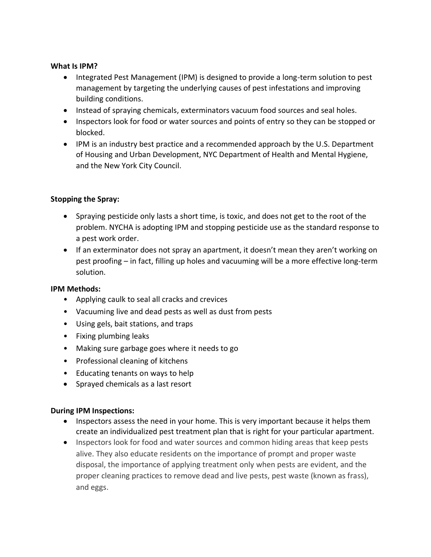#### **What Is IPM?**

- Integrated Pest Management (IPM) is designed to provide a long-term solution to pest management by targeting the underlying causes of pest infestations and improving building conditions.
- Instead of spraying chemicals, exterminators vacuum food sources and seal holes.
- Inspectors look for food or water sources and points of entry so they can be stopped or blocked.
- IPM is an industry best practice and a recommended approach by the U.S. Department of Housing and Urban Development, NYC Department of Health and Mental Hygiene, and the New York City Council.

# **Stopping the Spray:**

- Spraying pesticide only lasts a short time, is toxic, and does not get to the root of the problem. NYCHA is adopting IPM and stopping pesticide use as the standard response to a pest work order.
- If an exterminator does not spray an apartment, it doesn't mean they aren't working on pest proofing – in fact, filling up holes and vacuuming will be a more effective long-term solution.

## **IPM Methods:**

- Applying caulk to seal all cracks and crevices
- Vacuuming live and dead pests as well as dust from pests
- Using gels, bait stations, and traps
- Fixing plumbing leaks
- Making sure garbage goes where it needs to go
- Professional cleaning of kitchens
- Educating tenants on ways to help
- Sprayed chemicals as a last resort

## **During IPM Inspections:**

- Inspectors assess the need in your home. This is very important because it helps them create an individualized pest treatment plan that is right for your particular apartment.
- Inspectors look for food and water sources and common hiding areas that keep pests alive. They also educate residents on the importance of prompt and proper waste disposal, the importance of applying treatment only when pests are evident, and the proper cleaning practices to remove dead and live pests, pest waste (known as frass), and eggs.